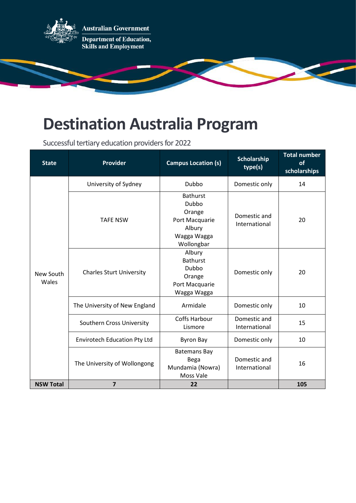

## **Destination Australia Program**

Successful tertiary education providers for 2022

| <b>State</b>       | Provider                            | <b>Campus Location (s)</b>                                                                  | Scholarship<br>type(s)        | <b>Total number</b><br>of<br>scholarships |
|--------------------|-------------------------------------|---------------------------------------------------------------------------------------------|-------------------------------|-------------------------------------------|
| New South<br>Wales | University of Sydney                | Dubbo                                                                                       | Domestic only                 | 14                                        |
|                    | <b>TAFE NSW</b>                     | <b>Bathurst</b><br>Dubbo<br>Orange<br>Port Macquarie<br>Albury<br>Wagga Wagga<br>Wollongbar | Domestic and<br>International | 20                                        |
|                    | <b>Charles Sturt University</b>     | Albury<br><b>Bathurst</b><br>Dubbo<br>Orange<br>Port Macquarie<br>Wagga Wagga               | Domestic only                 | 20                                        |
|                    | The University of New England       | Armidale                                                                                    | Domestic only                 | 10                                        |
|                    | Southern Cross University           | <b>Coffs Harbour</b><br>Lismore                                                             | Domestic and<br>International | 15                                        |
|                    | <b>Envirotech Education Pty Ltd</b> | <b>Byron Bay</b>                                                                            | Domestic only                 | 10                                        |
|                    | The University of Wollongong        | <b>Batemans Bay</b><br>Bega<br>Mundamia (Nowra)<br>Moss Vale                                | Domestic and<br>International | 16                                        |
| <b>NSW Total</b>   | $\overline{7}$                      | 22                                                                                          |                               | 105                                       |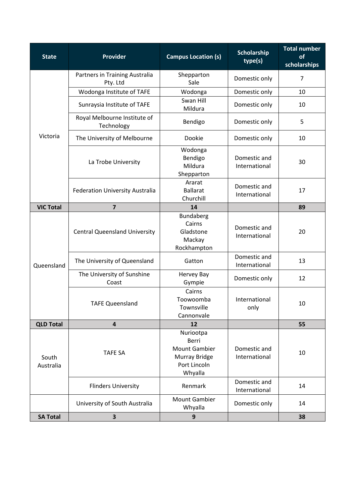| <b>State</b>       | <b>Provider</b>                            | <b>Campus Location (s)</b>                                                                    | Scholarship<br>type(s)        | <b>Total number</b><br>of<br>scholarships |
|--------------------|--------------------------------------------|-----------------------------------------------------------------------------------------------|-------------------------------|-------------------------------------------|
| Victoria           | Partners in Training Australia<br>Pty. Ltd | Shepparton<br>Sale                                                                            | Domestic only                 | $\overline{7}$                            |
|                    | Wodonga Institute of TAFE                  | Wodonga                                                                                       | Domestic only                 | 10                                        |
|                    | Sunraysia Institute of TAFE                | Swan Hill<br>Mildura                                                                          | Domestic only                 | 10                                        |
|                    | Royal Melbourne Institute of<br>Technology | Bendigo                                                                                       | Domestic only                 | 5                                         |
|                    | The University of Melbourne                | Dookie                                                                                        | Domestic only                 | 10                                        |
|                    | La Trobe University                        | Wodonga<br>Bendigo<br>Mildura<br>Shepparton                                                   | Domestic and<br>International | 30                                        |
|                    | Federation University Australia            | Ararat<br><b>Ballarat</b><br>Churchill                                                        | Domestic and<br>International | 17                                        |
| <b>VIC Total</b>   | $\overline{7}$                             | 14                                                                                            |                               | 89                                        |
| Queensland         | <b>Central Queensland University</b>       | <b>Bundaberg</b><br>Cairns<br>Gladstone<br>Mackay<br>Rockhampton                              | Domestic and<br>International | 20                                        |
|                    | The University of Queensland               | Gatton                                                                                        | Domestic and<br>International | 13                                        |
|                    | The University of Sunshine<br>Coast        | Hervey Bay<br>Gympie                                                                          | Domestic only                 | 12                                        |
|                    | <b>TAFE Queensland</b>                     | Cairns<br>Toowoomba<br>Townsville<br>Cannonvale                                               | International<br>only         | 10                                        |
| <b>QLD Total</b>   | $\overline{\mathbf{4}}$                    | 12                                                                                            |                               | 55                                        |
| South<br>Australia | <b>TAFE SA</b>                             | Nuriootpa<br><b>Berri</b><br><b>Mount Gambier</b><br>Murray Bridge<br>Port Lincoln<br>Whyalla | Domestic and<br>International | 10                                        |
|                    | <b>Flinders University</b>                 | Renmark                                                                                       | Domestic and<br>International | 14                                        |
|                    | University of South Australia              | <b>Mount Gambier</b><br>Whyalla                                                               | Domestic only                 | 14                                        |
| <b>SA Total</b>    | 3                                          | 9                                                                                             |                               | 38                                        |